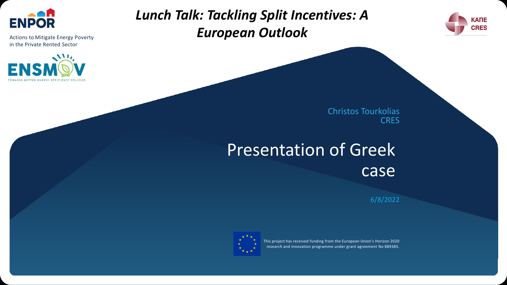

Actions to Mitigate Energy Poverty in the Private Rented Sector



### *Lunch Talk: Tackling Split Incentives: A European Outlook*



Christos Tourkolias **CRES** 

# Presentation of Greek case

6/8/2022



This project has received funding from the European Union's Horizon 2020 research and innovation programme under grant agreement No 889385.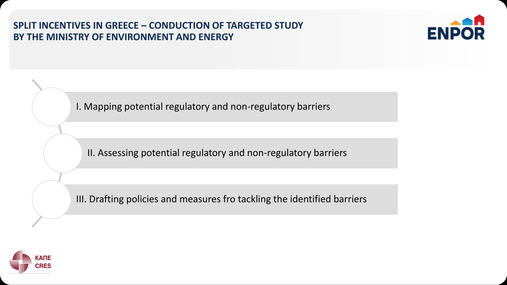**SPLIT INCENTIVES IN GREECE – CONDUCTION OF TARGETED STUDY BY THE MINISTRY OF ENVIRONMENT AND ENERGY**



I. Mapping potential regulatory and non-regulatory barriers

II. Assessing potential regulatory and non-regulatory barriers

III. Drafting policies and measures fro tackling the identified barriers

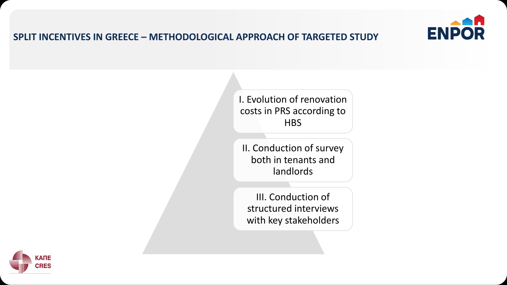

#### **SPLIT INCENTIVES IN GREECE – METHODOLOGICAL APPROACH OF TARGETED STUDY**

I. Evolution of renovation costs in PRS according to **HBS** 

II. Conduction of survey both in tenants and landlords

III. Conduction of structured interviews with key stakeholders

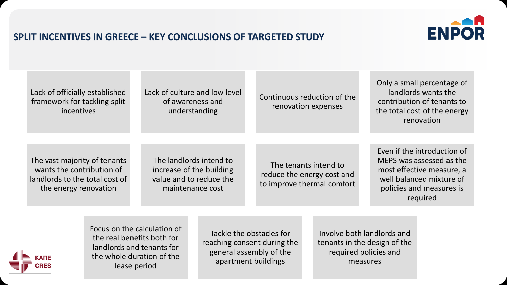#### **SPLIT INCENTIVES IN GREECE – KEY CONCLUSIONS OF TARGETED STUDY**



| Lack of officially established<br>framework for tackling split<br><i>incentives</i>                                  |                                                                                                                                     | Lack of culture and low level<br>of awareness and<br>understanding                                 | Continuous reduction of the<br>renovation expenses                                |                                                                                                 | Only a small percentage of<br>landlords wants the<br>contribution of tenants to<br>the total cost of the energy<br>renovation                            |
|----------------------------------------------------------------------------------------------------------------------|-------------------------------------------------------------------------------------------------------------------------------------|----------------------------------------------------------------------------------------------------|-----------------------------------------------------------------------------------|-------------------------------------------------------------------------------------------------|----------------------------------------------------------------------------------------------------------------------------------------------------------|
| The vast majority of tenants<br>wants the contribution of<br>landlords to the total cost of<br>the energy renovation |                                                                                                                                     | The landlords intend to<br>increase of the building<br>value and to reduce the<br>maintenance cost | The tenants intend to<br>reduce the energy cost and<br>to improve thermal comfort |                                                                                                 | Even if the introduction of<br>MEPS was assessed as the<br>most effective measure, a<br>well balanced mixture of<br>policies and measures is<br>required |
| КАПЕ<br><b>CRES</b>                                                                                                  | Focus on the calculation of<br>the real benefits both for<br>landlords and tenants for<br>the whole duration of the<br>lease period | general assembly of the                                                                            | Tackle the obstacles for<br>reaching consent during the<br>apartment buildings    | Involve both landlords and<br>tenants in the design of the<br>required policies and<br>measures |                                                                                                                                                          |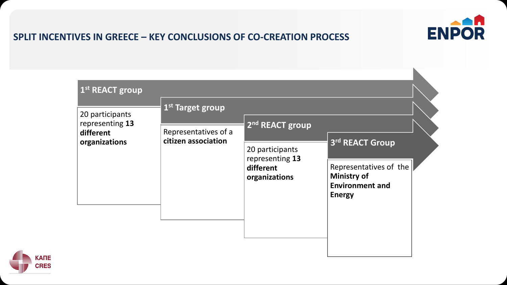

#### **SPLIT INCENTIVES IN GREECE – KEY CONCLUSIONS OF CO-CREATION PROCESS**

| 20 participants<br>representing 13<br>different<br>organizations | 1 <sup>st</sup> Target group                |                                                                  |                                                                 |  |  |  |  |
|------------------------------------------------------------------|---------------------------------------------|------------------------------------------------------------------|-----------------------------------------------------------------|--|--|--|--|
|                                                                  | Representatives of a<br>citizen association | 2 <sup>nd</sup> REACT group                                      |                                                                 |  |  |  |  |
|                                                                  |                                             | 20 participants<br>representing 13<br>different<br>organizations | 3rd REACT Group<br>Representatives of the<br><b>Ministry of</b> |  |  |  |  |
|                                                                  |                                             |                                                                  | <b>Environment and</b><br><b>Energy</b>                         |  |  |  |  |
|                                                                  |                                             |                                                                  |                                                                 |  |  |  |  |

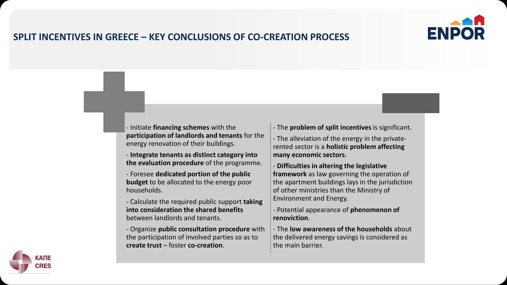

#### **SPLIT INCENTIVES IN GREECE – KEY CONCLUSIONS OF CO-CREATION PROCESS**

- Initiate **financing schemes** with the **participation of landlords and tenants** for the energy renovation of their buildings.

- **Integrate tenants as distinct category into the evaluation procedure** of the programme.

- Foresee **dedicated portion of the public budget** to be allocated to the energy poor households.

- Calculate the required public support **taking into consideration the shared benefits** between landlords and tenants.

- Organize **public consultation procedure** with the participation of involved parties so as to **create trust** – foster **co-creation**.

- The **problem of split incentives** is significant.

- The alleviation of the energy in the privaterented sector is a **holistic problem affecting many economic sectors**.

- **Difficulties in altering the legislative framework** as law governing the operation of the apartment buildings lays in the jurisdiction of other ministries than the Ministry of Environment and Energy.

- Potential appearance of **phenomenon of renoviction**.

- The **low awareness of the households** about the delivered energy savings is considered as the main barrier.